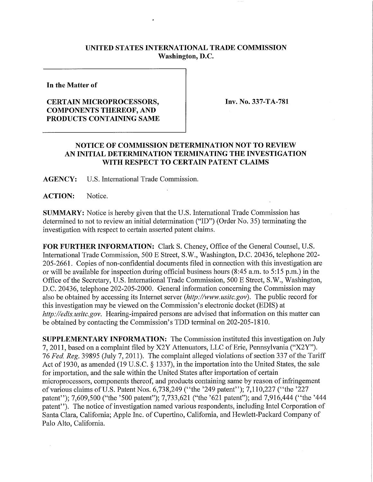## **UNITED STATES INTERNATIONAL TRADE COMMISSION Washington, D.C.**

**In the Matter of** 

## **CERTAIN MICROPROCESSORS, COMPONENTS THEREOF, AND PRODUCTS CONTAINING SAME**

**Inv. No. 337-TA-781** 

## **NOTICE OF COMMISSION DETERMINATION NOT TO REVIEW AN INITIAL DETERMINATION TERMINATING THE INVESTIGATION WITH RESPECT TO CERTAIN PATENT CLAIMS**

**AGENCY:** U.S. International Trade Commission.

**ACTION:** Notice.

**SUMMARY:** Notice is hereby given that the U.S. International Trade Commission has determined to not to review an initial determination ("ID") (Order No. 35) terminating the mvestigation with respect to certain asserted patent claims.

**FOR FURTHER INFORMATION:** Clark S. Cheney, Office of the General Counsel, U.S. International Trade Commission, 500 E Street, S.W., Washington, D.C. 20436, telephone 202- 205-2661. Copies of non-confidential documents filed in connection with this investigation are or will be available for inspection during official business hours (8:45 a.m. to 5:15 p.m.) in the Office of the Secretary, U.S. International Trade Commission, 500 E Street, S.W., Washington, D.C. 20436, telephone 202-205-2000. General infonnation concerning the Commission may also be obtained by accessing its Internet server *(http://www.usitc.gov).* The public record for this investigation may be viewed on the Commission's electronic docket (EDIS) at *http://edis.usitc.gov.* Hearing-impaired persons are advised that information on this matter can be obtained by contacting the Commission's TDD terminal on 202-205-1810.

**SUPPLEMENTARY INFORMATION:** The Commission instituted this investigation on July 7, 2011, based on a complaint filed by X2Y Attenuators, LLC of Erie, Pennsylvania ("X2Y"). 76 Fed. Reg. 39895 (July 7, 2011). The complaint alleged violations of section 337 of the Tariff Act of 1930, as amended (19 U.S.C. § 1337), in the importation into the United States, the sale for importation, and the sale within the United States after importation of certain microprocessors, components thereof, and products containing same by reason of infringement of various claims of U.S. Patent Nos. 6,738,249 ("the '249 patent"); 7,110,227 ("the '227 patent"); 7,609,500 ("the '500 patent"); 7,733,621 ("the '621 patent"); and 7,916,444 ("the '444 patent"). The notice of investigation named various respondents, including Intel Corporation of Santa Clara, California; Apple Inc. of Cupertino, California, and Hewlett-Packard Company of Palo Alto, California.